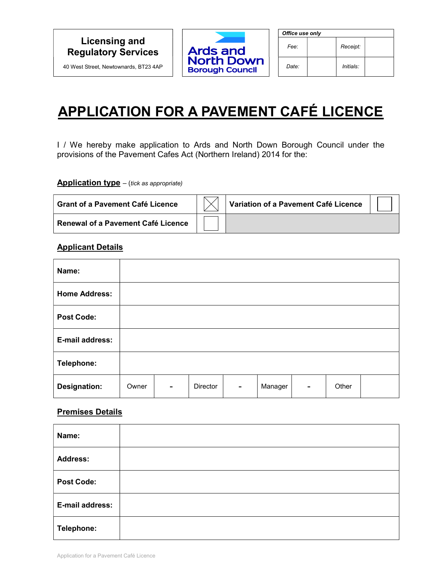# Licensing and Regulatory Services

40 West Street, Newtownards, BT23 4AP



| Office use only |  |           |  |  |  |
|-----------------|--|-----------|--|--|--|
| Fee:            |  | Receipt:  |  |  |  |
| Date:           |  | Initials: |  |  |  |

# APPLICATION FOR A PAVEMENT CAFÉ LICENCE

I / We hereby make application to Ards and North Down Borough Council under the provisions of the Pavement Cafes Act (Northern Ireland) 2014 for the:

**Application type**  $-$  (tick as appropriate)

| <b>Grant of a Pavement Café Licence</b> | Variation of a Pavement Café Licence |  |
|-----------------------------------------|--------------------------------------|--|
| Renewal of a Pavement Café Licence      |                                      |  |

#### Applicant Details

| Name:                |       |                |          |                          |         |   |       |  |
|----------------------|-------|----------------|----------|--------------------------|---------|---|-------|--|
| <b>Home Address:</b> |       |                |          |                          |         |   |       |  |
| <b>Post Code:</b>    |       |                |          |                          |         |   |       |  |
| E-mail address:      |       |                |          |                          |         |   |       |  |
| Telephone:           |       |                |          |                          |         |   |       |  |
| <b>Designation:</b>  | Owner | $\blacksquare$ | Director | $\overline{\phantom{0}}$ | Manager | ۰ | Other |  |

#### Premises Details

| Name:             |  |
|-------------------|--|
| <b>Address:</b>   |  |
| <b>Post Code:</b> |  |
| E-mail address:   |  |
| Telephone:        |  |